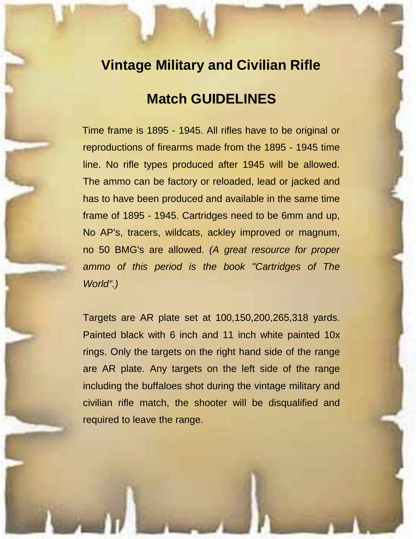## **Vintage Military and Civilian Rifle**

# **Match GUIDELINES**

Time frame is 1895 - 1945. All rifles have to be original or reproductions of firearms made from the 1895 - 1945 time line. No rifle types produced after 1945 will be allowed. The ammo can be factory or reloaded, lead or jacked and has to have been produced and available in the same time frame of 1895 - 1945. Cartridges need to be 6mm and up, No AP's, tracers, wildcats, ackley improved or magnum, no 50 BMG's are allowed. *(A great resource for proper ammo of this period is the book "Cartridges of The World".)*

Targets are AR plate set at 100,150,200,265,318 yards. Painted black with 6 inch and 11 inch white painted 10x rings. Only the targets on the right hand side of the range are AR plate. Any targets on the left side of the range including the buffaloes shot during the vintage military and civilian rifle match, the shooter will be disqualified and required to leave the range.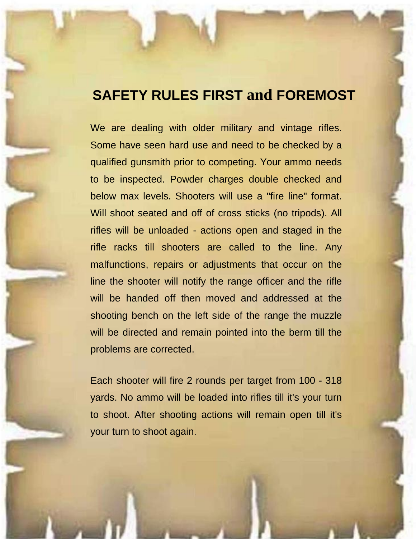### **SAFETY RULES FIRST and FOREMOST**

We are dealing with older military and vintage rifles. Some have seen hard use and need to be checked by a qualified gunsmith prior to competing. Your ammo needs to be inspected. Powder charges double checked and below max levels. Shooters will use a "fire line" format. Will shoot seated and off of cross sticks (no tripods). All rifles will be unloaded - actions open and staged in the rifle racks till shooters are called to the line. Any malfunctions, repairs or adjustments that occur on the line the shooter will notify the range officer and the rifle will be handed off then moved and addressed at the shooting bench on the left side of the range the muzzle will be directed and remain pointed into the berm till the problems are corrected.

Each shooter will fire 2 rounds per target from 100 - 318 yards. No ammo will be loaded into rifles till it's your turn to shoot. After shooting actions will remain open till it's your turn to shoot again.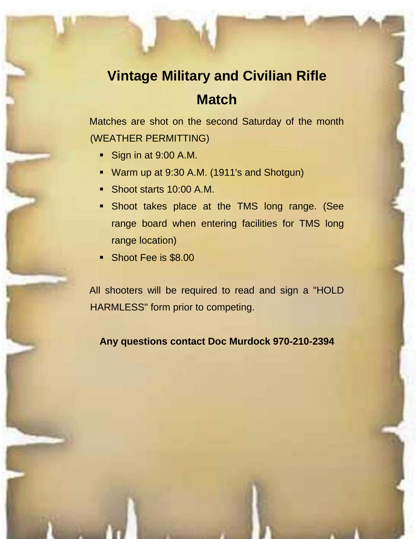# **Vintage Military and Civilian Rifle**

## **Match**

Matches are shot on the second Saturday of the month (WEATHER PERMITTING)

- Sign in at 9:00 A.M.
- Warm up at 9:30 A.M. (1911's and Shotgun)
- Shoot starts 10:00 A.M.
- **Shoot takes place at the TMS long range. (See** range board when entering facilities for TMS long range location)
- Shoot Fee is \$8.00

All shooters will be required to read and sign a "HOLD HARMLESS" form prior to competing.

**Any questions contact Doc Murdock 970-210-2394**